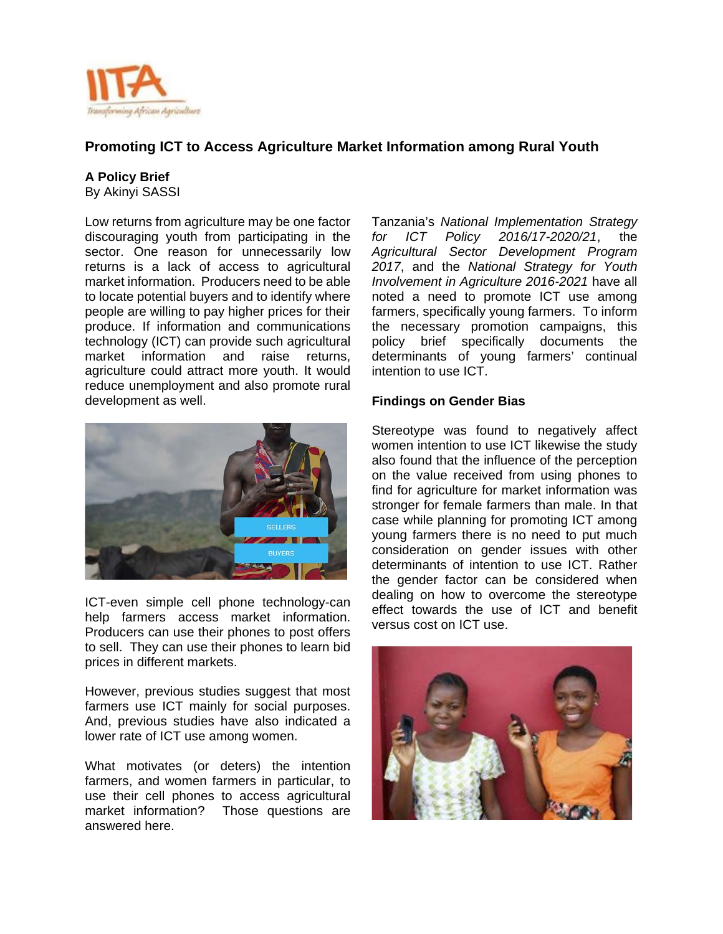

# **Promoting ICT to Access Agriculture Market Information among Rural Youth**

#### **A Policy Brief**

By Akinyi SASSI

Low returns from agriculture may be one factor discouraging youth from participating in the sector. One reason for unnecessarily low returns is a lack of access to agricultural market information. Producers need to be able to locate potential buyers and to identify where people are willing to pay higher prices for their produce. If information and communications technology (ICT) can provide such agricultural market information and raise returns, agriculture could attract more youth. It would reduce unemployment and also promote rural development as well.



ICT-even simple cell phone technology-can help farmers access market information. Producers can use their phones to post offers to sell. They can use their phones to learn bid prices in different markets.

However, previous studies suggest that most farmers use ICT mainly for social purposes. And, previous studies have also indicated a lower rate of ICT use among women.

What motivates (or deters) the intention farmers, and women farmers in particular, to use their cell phones to access agricultural market information? Those questions are answered here.

Tanzania's *National Implementation Strategy for ICT Policy 2016/17-2020/21*, the *Agricultural Sector Development Program 2017*, and the *National Strategy for Youth Involvement in Agriculture 2016-2021* have all noted a need to promote ICT use among farmers, specifically young farmers. To inform the necessary promotion campaigns, this policy brief specifically documents the determinants of young farmers' continual intention to use ICT.

#### **Findings on Gender Bias**

Stereotype was found to negatively affect women intention to use ICT likewise the study also found that the influence of the perception on the value received from using phones to find for agriculture for market information was stronger for female farmers than male. In that case while planning for promoting ICT among young farmers there is no need to put much consideration on gender issues with other determinants of intention to use ICT. Rather the gender factor can be considered when dealing on how to overcome the stereotype effect towards the use of ICT and benefit versus cost on ICT use.